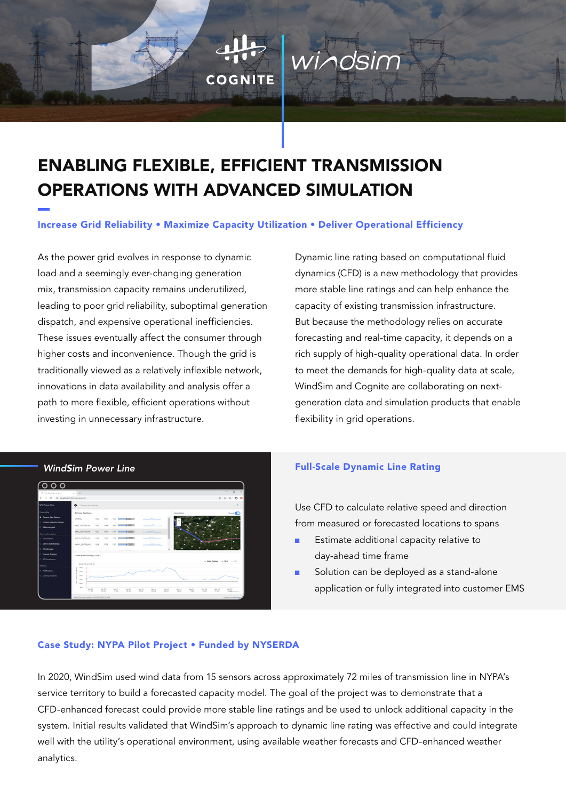# ENABLING FLEXIBLE, EFFICIENT TRANSMISSION OPERATIONS WITH ADVANCED SIMULATION

COGNITE

## Increase Grid Reliability • Maximize Capacity Utilization • Deliver Operational Efficiency

As the power grid evolves in response to dynamic load and a seemingly ever-changing generation mix, transmission capacity remains underutilized, leading to poor grid reliability, suboptimal generation dispatch, and expensive operational inefficiencies. These issues eventually affect the consumer through higher costs and inconvenience. Though the grid is traditionally viewed as a relatively inflexible network, innovations in data availability and analysis offer a path to more flexible, efficient operations without investing in unnecessary infrastructure.

Dynamic line rating based on computational fluid dynamics (CFD) is a new methodology that provides more stable line ratings and can help enhance the capacity of existing transmission infrastructure. But because the methodology relies on accurate forecasting and real-time capacity, it depends on a rich supply of high-quality operational data. In order to meet the demands for high-quality data at scale, WindSim and Cognite are collaborating on nextgeneration data and simulation products that enable flexibility in grid operations.



#### *WindSim Power Line* Full-Scale Dynamic Line Rating

Use CFD to calculate relative speed and direction from measured or forecasted locations to spans

- Estimate additional capacity relative to day-ahead time frame
- Solution can be deployed as a stand-alone application or fully integrated into customer EMS

#### Case Study: NYPA Pilot Project • Funded by NYSERDA

In 2020, WindSim used wind data from 15 sensors across approximately 72 miles of transmission line in NYPA's service territory to build a forecasted capacity model. The goal of the project was to demonstrate that a CFD-enhanced forecast could provide more stable line ratings and be used to unlock additional capacity in the system. Initial results validated that WindSim's approach to dynamic line rating was effective and could integrate well with the utility's operational environment, using available weather forecasts and CFD-enhanced weather analytics.